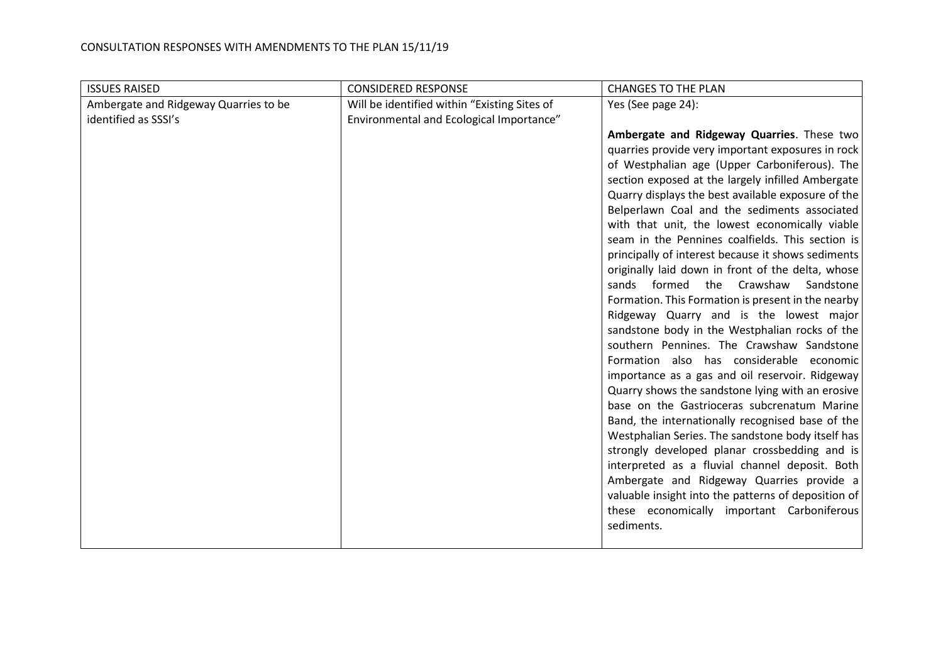| <b>ISSUES RAISED</b>                  | <b>CONSIDERED RESPONSE</b>                   | <b>CHANGES TO THE PLAN</b>                                                                              |
|---------------------------------------|----------------------------------------------|---------------------------------------------------------------------------------------------------------|
| Ambergate and Ridgeway Quarries to be | Will be identified within "Existing Sites of | Yes (See page 24):                                                                                      |
| identified as SSSI's                  | Environmental and Ecological Importance"     |                                                                                                         |
|                                       |                                              | Ambergate and Ridgeway Quarries. These two                                                              |
|                                       |                                              | quarries provide very important exposures in rock                                                       |
|                                       |                                              | of Westphalian age (Upper Carboniferous). The                                                           |
|                                       |                                              | section exposed at the largely infilled Ambergate                                                       |
|                                       |                                              | Quarry displays the best available exposure of the                                                      |
|                                       |                                              | Belperlawn Coal and the sediments associated                                                            |
|                                       |                                              | with that unit, the lowest economically viable                                                          |
|                                       |                                              | seam in the Pennines coalfields. This section is                                                        |
|                                       |                                              | principally of interest because it shows sediments<br>originally laid down in front of the delta, whose |
|                                       |                                              | sands formed the Crawshaw<br>Sandstone                                                                  |
|                                       |                                              | Formation. This Formation is present in the nearby                                                      |
|                                       |                                              | Ridgeway Quarry and is the lowest major                                                                 |
|                                       |                                              | sandstone body in the Westphalian rocks of the                                                          |
|                                       |                                              | southern Pennines. The Crawshaw Sandstone                                                               |
|                                       |                                              | Formation also has considerable economic                                                                |
|                                       |                                              | importance as a gas and oil reservoir. Ridgeway                                                         |
|                                       |                                              | Quarry shows the sandstone lying with an erosive                                                        |
|                                       |                                              | base on the Gastrioceras subcrenatum Marine                                                             |
|                                       |                                              | Band, the internationally recognised base of the                                                        |
|                                       |                                              | Westphalian Series. The sandstone body itself has                                                       |
|                                       |                                              | strongly developed planar crossbedding and is                                                           |
|                                       |                                              | interpreted as a fluvial channel deposit. Both                                                          |
|                                       |                                              | Ambergate and Ridgeway Quarries provide a                                                               |
|                                       |                                              | valuable insight into the patterns of deposition of                                                     |
|                                       |                                              | these economically important Carboniferous                                                              |
|                                       |                                              | sediments.                                                                                              |
|                                       |                                              |                                                                                                         |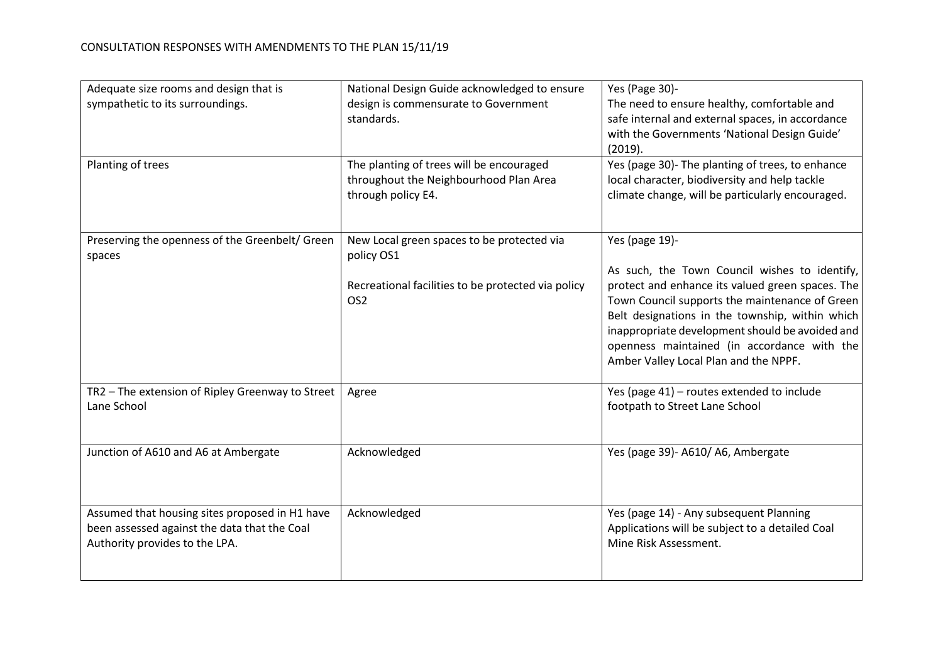| Adequate size rooms and design that is<br>sympathetic to its surroundings.<br>Planting of trees                                  | National Design Guide acknowledged to ensure<br>design is commensurate to Government<br>standards.<br>The planting of trees will be encouraged<br>throughout the Neighbourhood Plan Area<br>through policy E4. | Yes (Page 30)-<br>The need to ensure healthy, comfortable and<br>safe internal and external spaces, in accordance<br>with the Governments 'National Design Guide'<br>(2019).<br>Yes (page 30)- The planting of trees, to enhance<br>local character, biodiversity and help tackle<br>climate change, will be particularly encouraged.                               |
|----------------------------------------------------------------------------------------------------------------------------------|----------------------------------------------------------------------------------------------------------------------------------------------------------------------------------------------------------------|---------------------------------------------------------------------------------------------------------------------------------------------------------------------------------------------------------------------------------------------------------------------------------------------------------------------------------------------------------------------|
| Preserving the openness of the Greenbelt/ Green<br>spaces                                                                        | New Local green spaces to be protected via<br>policy OS1<br>Recreational facilities to be protected via policy<br>OS <sub>2</sub>                                                                              | Yes (page 19)-<br>As such, the Town Council wishes to identify,<br>protect and enhance its valued green spaces. The<br>Town Council supports the maintenance of Green<br>Belt designations in the township, within which<br>inappropriate development should be avoided and<br>openness maintained (in accordance with the<br>Amber Valley Local Plan and the NPPF. |
| TR2 - The extension of Ripley Greenway to Street<br>Lane School                                                                  | Agree                                                                                                                                                                                                          | Yes (page 41) - routes extended to include<br>footpath to Street Lane School                                                                                                                                                                                                                                                                                        |
| Junction of A610 and A6 at Ambergate                                                                                             | Acknowledged                                                                                                                                                                                                   | Yes (page 39)- A610/ A6, Ambergate                                                                                                                                                                                                                                                                                                                                  |
| Assumed that housing sites proposed in H1 have<br>been assessed against the data that the Coal<br>Authority provides to the LPA. | Acknowledged                                                                                                                                                                                                   | Yes (page 14) - Any subsequent Planning<br>Applications will be subject to a detailed Coal<br>Mine Risk Assessment.                                                                                                                                                                                                                                                 |